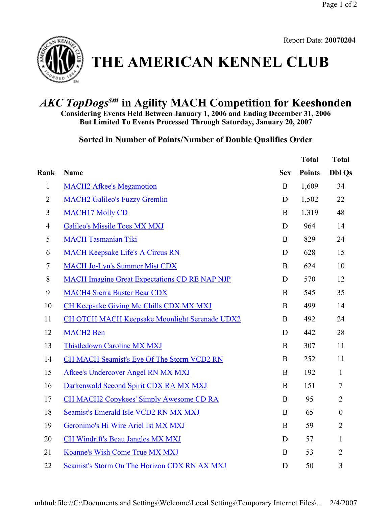

**THE AMERICAN KENNEL CLUB**

## *AKC TopDogssm* **in Agility MACH Competition for Keeshonden**

**Considering Events Held Between January 1, 2006 and Ending December 31, 2006 But Limited To Events Processed Through Saturday, January 20, 2007**

**Sorted in Number of Points/Number of Double Qualifies Order** 

|                |                                                      |            | <b>Total</b>  | <b>Total</b>     |
|----------------|------------------------------------------------------|------------|---------------|------------------|
| Rank           | Name                                                 | <b>Sex</b> | <b>Points</b> | <b>Dbl Qs</b>    |
| $\mathbf{1}$   | <b>MACH2 Afkee's Megamotion</b>                      | $\bf{B}$   | 1,609         | 34               |
| $\overline{2}$ | <b>MACH2 Galileo's Fuzzy Gremlin</b>                 | D          | 1,502         | 22               |
| 3              | <b>MACH17 Molly CD</b>                               | B          | 1,319         | 48               |
| $\overline{4}$ | <b>Galileo's Missile Toes MX MXJ</b>                 | D          | 964           | 14               |
| 5              | <b>MACH Tasmanian Tiki</b>                           | $\bf{B}$   | 829           | 24               |
| 6              | <b>MACH Keepsake Life's A Circus RN</b>              | D          | 628           | 15               |
| $\tau$         | <b>MACH Jo-Lyn's Summer Mist CDX</b>                 | $\bf{B}$   | 624           | 10               |
| 8              | <b>MACH Imagine Great Expectations CD RE NAP NJP</b> | D          | 570           | 12               |
| 9              | <b>MACH4 Sierra Buster Bear CDX</b>                  | $\bf{B}$   | 545           | 35               |
| 10             | CH Keepsake Giving Me Chills CDX MX MXJ              | $\bf{B}$   | 499           | 14               |
| 11             | <b>CH OTCH MACH Keepsake Moonlight Serenade UDX2</b> | B          | 492           | 24               |
| 12             | <b>MACH2</b> Ben                                     | D          | 442           | 28               |
| 13             | <b>Thistledown Caroline MX MXJ</b>                   | $\bf{B}$   | 307           | 11               |
| 14             | CH MACH Seamist's Eye Of The Storm VCD2 RN           | $\bf{B}$   | 252           | 11               |
| 15             | Afkee's Undercover Angel RN MX MXJ                   | $\bf{B}$   | 192           | $\mathbf{1}$     |
| 16             | Darkenwald Second Spirit CDX RA MX MXJ               | B          | 151           | $\tau$           |
| 17             | <b>CH MACH2 Copykees' Simply Awesome CD RA</b>       | B          | 95            | $\overline{2}$   |
| 18             | Seamist's Emerald Isle VCD2 RN MX MXJ                | $\bf{B}$   | 65            | $\boldsymbol{0}$ |
| 19             | Geronimo's Hi Wire Ariel Ist MX MXJ                  | B          | 59            | $\overline{2}$   |
| 20             | <b>CH Windrift's Beau Jangles MX MXJ</b>             | D          | 57            | $\mathbf{1}$     |
| 21             | Koanne's Wish Come True MX MXJ                       | $\bf{B}$   | 53            | $\overline{2}$   |
| 22             | Seamist's Storm On The Horizon CDX RN AX MXJ         | D          | 50            | 3                |